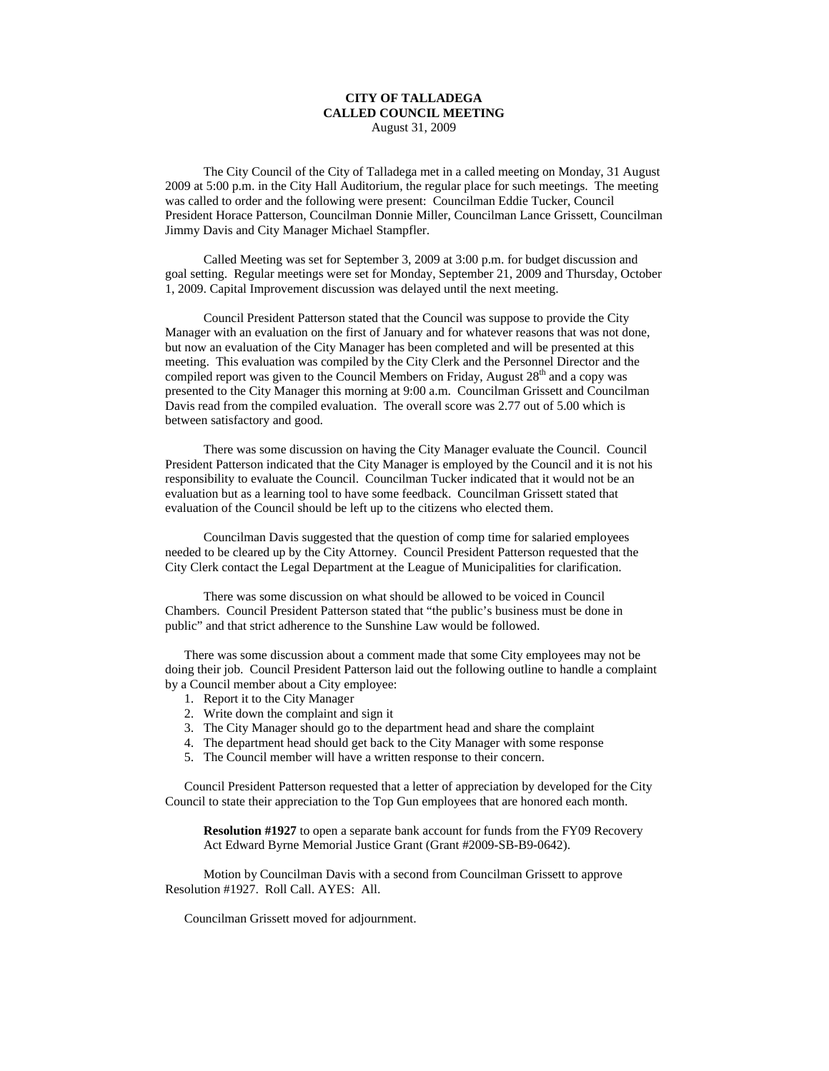## **CITY OF TALLADEGA CALLED COUNCIL MEETING** August 31, 2009

The City Council of the City of Talladega met in a called meeting on Monday, 31 August 2009 at 5:00 p.m. in the City Hall Auditorium, the regular place for such meetings. The meeting was called to order and the following were present: Councilman Eddie Tucker, Council President Horace Patterson, Councilman Donnie Miller, Councilman Lance Grissett, Councilman Jimmy Davis and City Manager Michael Stampfler.

Called Meeting was set for September 3, 2009 at 3:00 p.m. for budget discussion and goal setting. Regular meetings were set for Monday, September 21, 2009 and Thursday, October 1, 2009. Capital Improvement discussion was delayed until the next meeting.

Council President Patterson stated that the Council was suppose to provide the City Manager with an evaluation on the first of January and for whatever reasons that was not done, but now an evaluation of the City Manager has been completed and will be presented at this meeting. This evaluation was compiled by the City Clerk and the Personnel Director and the compiled report was given to the Council Members on Friday, August  $28<sup>th</sup>$  and a copy was presented to the City Manager this morning at 9:00 a.m. Councilman Grissett and Councilman Davis read from the compiled evaluation. The overall score was 2.77 out of 5.00 which is between satisfactory and good.

There was some discussion on having the City Manager evaluate the Council. Council President Patterson indicated that the City Manager is employed by the Council and it is not his responsibility to evaluate the Council. Councilman Tucker indicated that it would not be an evaluation but as a learning tool to have some feedback. Councilman Grissett stated that evaluation of the Council should be left up to the citizens who elected them.

Councilman Davis suggested that the question of comp time for salaried employees needed to be cleared up by the City Attorney. Council President Patterson requested that the City Clerk contact the Legal Department at the League of Municipalities for clarification.

There was some discussion on what should be allowed to be voiced in Council Chambers. Council President Patterson stated that "the public's business must be done in public" and that strict adherence to the Sunshine Law would be followed.

There was some discussion about a comment made that some City employees may not be doing their job. Council President Patterson laid out the following outline to handle a complaint by a Council member about a City employee:

- 1. Report it to the City Manager
- 2. Write down the complaint and sign it
- 3. The City Manager should go to the department head and share the complaint
- 4. The department head should get back to the City Manager with some response
- 5. The Council member will have a written response to their concern.

Council President Patterson requested that a letter of appreciation by developed for the City Council to state their appreciation to the Top Gun employees that are honored each month.

**Resolution #1927** to open a separate bank account for funds from the FY09 Recovery Act Edward Byrne Memorial Justice Grant (Grant #2009-SB-B9-0642).

Motion by Councilman Davis with a second from Councilman Grissett to approve Resolution #1927. Roll Call. AYES: All.

Councilman Grissett moved for adjournment.